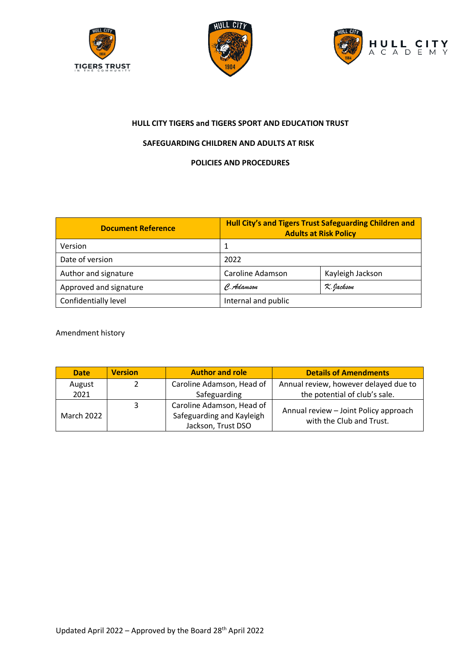





# **HULL CITY TIGERS and TIGERS SPORT AND EDUCATION TRUST**

# **SAFEGUARDING CHILDREN AND ADULTS AT RISK**

# **POLICIES AND PROCEDURES**

| <b>Document Reference</b> |                     | Hull City's and Tigers Trust Safeguarding Children and<br><b>Adults at Risk Policy</b> |
|---------------------------|---------------------|----------------------------------------------------------------------------------------|
| Version                   |                     |                                                                                        |
| Date of version           | 2022                |                                                                                        |
| Author and signature      | Caroline Adamson    | Kayleigh Jackson                                                                       |
| Approved and signature    | C. Adamson          | K. Jackson                                                                             |
| Confidentially level      | Internal and public |                                                                                        |

# Amendment history

| <b>Date</b>       | <b>Version</b> | <b>Author and role</b>    | <b>Details of Amendments</b>                                      |  |
|-------------------|----------------|---------------------------|-------------------------------------------------------------------|--|
| August            |                | Caroline Adamson, Head of | Annual review, however delayed due to                             |  |
| 2021              |                | Safeguarding              | the potential of club's sale.                                     |  |
|                   | 3              | Caroline Adamson, Head of |                                                                   |  |
| <b>March 2022</b> |                | Safeguarding and Kayleigh | Annual review - Joint Policy approach<br>with the Club and Trust. |  |
|                   |                | Jackson, Trust DSO        |                                                                   |  |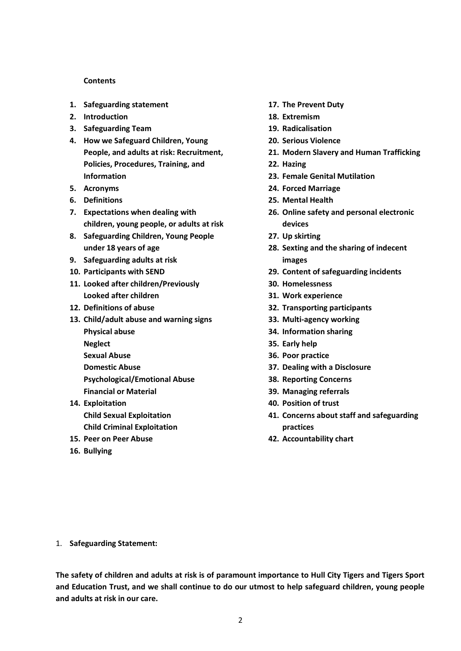#### **Contents**

- **1. [Safeguarding statement](#page-1-0)**
- **2. [Introduction](#page-2-0)**
- **3. [Safeguarding Team](#page-2-1)**
- **4. [How we Safeguard Children, Young](#page-3-0)  People, and [adults at risk: Recruitment,](#page-3-0) [Policies, Procedures, Training,](#page-3-0) and [Information](#page-3-0)**
- **5. [Acronyms](#page-4-0)**
- **6. [Definitions](#page-6-0)**
- **7. [Expectations when dealing with](#page-7-0)  [children, young people, or adults](#page-7-0) at risk**
- **8. [Safeguarding Children, Young People](#page-8-0)  [under 18 years of age](#page-8-0)**
- **9. [Safeguarding adults](#page-8-1) at risk**
- **10. [Participants with SEND](#page-9-0)**
- **11. [Looked after children/Previously](#page-9-1)  [Looked after children](#page-9-1)**
- **12. [Definitions of abuse](#page-10-0)**
- **13. Child/adult abuse [and warning signs](#page-10-1) [Physical abuse](#page-11-0) [Neglect](#page-11-1) [Sexual Abuse](#page-11-2) [Domestic Abuse](#page-12-0) [Psychological/Emotional](#page-13-0) Abuse**
	- **[Financial or Material](#page-13-1)**
- **14. [Exploitation](#page-13-2) Child Sexual Exploitation Child Criminal Exploitation**
- **15. [Peer on Peer Abuse](#page-15-0)**
- **16. [Bullying](#page-16-0)**
- **17. [The Prevent Duty](#page-16-1)**
- **18. [Extremism](#page-17-0)**
- **19. [Radicalisation](#page-17-1)**
- **20. [Serious Violence](#page-18-0)**
- **21. [Modern Slavery and Human Trafficking](#page-19-0)**
- **22. [Hazing](#page-19-1)**
- **23. [Female Genital Mutilation](#page-19-2)**
- **24. [Forced Marriage](#page-20-0)**
- **25. [Mental Health](#page-20-1)**
- **26. [Online safety and personal electronic](#page-21-0)  [devices](#page-21-0)**
- **27. [Up skirting](#page-21-1)**
- **28. [Sexting and the sharing of indecent](#page-21-2)  [images](#page-21-2)**
- **29. [Content of safeguarding incidents](#page-21-3)**
- **30. [Homelessness](#page-22-0)**
- **31. [Work experience](#page-22-1)**
- **32. [Transporting participants](#page-22-2)**
- **33. [Multi-agency working](#page-22-3)**
- **34. [Information sharing](#page-23-0)**
- **35. [Early help](#page-23-1)**
- **36. [Poor practice](#page-23-2)**
- **37. [Dealing with a Disclosure](#page-24-0)**
- **38. [Reporting Concerns](#page-25-0)**
- **39. [Managing referrals](#page-26-0)**
- **40. [Position of trust](#page-26-1)**
- **41. [Concerns about staff and safeguarding](#page-27-0)  [practices](#page-27-0)**
- **42. [Accountability chart](#page-29-0)**

<span id="page-1-0"></span>1. **Safeguarding Statement:**

**The safety of children and adults at risk is of paramount importance to Hull City Tigers and Tigers Sport and Education Trust, and we shall continue to do our utmost to help safeguard children, young people and adults at risk in our care.**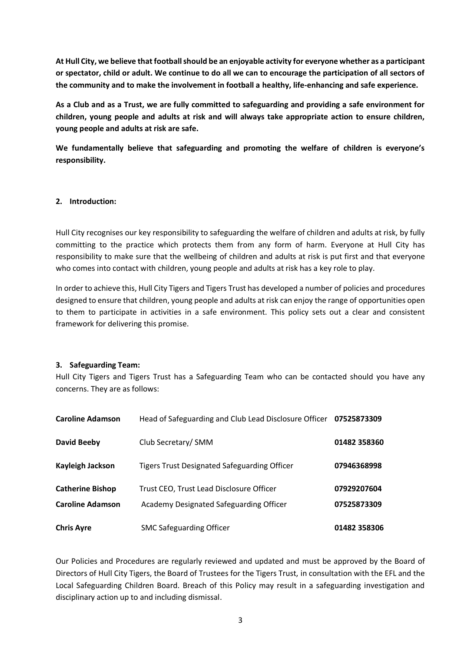**At Hull City, we believe that football should be an enjoyable activity for everyone whether as a participant or spectator, child or adult. We continue to do all we can to encourage the participation of all sectors of the community and to make the involvement in football a healthy, life-enhancing and safe experience.**

**As a Club and as a Trust, we are fully committed to safeguarding and providing a safe environment for children, young people and adults at risk and will always take appropriate action to ensure children, young people and adults at risk are safe.** 

**We fundamentally believe that safeguarding and promoting the welfare of children is everyone's responsibility.** 

# <span id="page-2-0"></span>**2. Introduction:**

Hull City recognises our key responsibility to safeguarding the welfare of children and adults at risk, by fully committing to the practice which protects them from any form of harm. Everyone at Hull City has responsibility to make sure that the wellbeing of children and adults at risk is put first and that everyone who comes into contact with children, young people and adults at risk has a key role to play.

In order to achieve this, Hull City Tigers and Tigers Trust has developed a number of policies and procedures designed to ensure that children, young people and adults at risk can enjoy the range of opportunities open to them to participate in activities in a safe environment. This policy sets out a clear and consistent framework for delivering this promise.

#### <span id="page-2-1"></span>**3. Safeguarding Team:**

Hull City Tigers and Tigers Trust has a Safeguarding Team who can be contacted should you have any concerns. They are as follows:

| <b>Caroline Adamson</b> | Head of Safeguarding and Club Lead Disclosure Officer 07525873309 |              |
|-------------------------|-------------------------------------------------------------------|--------------|
| <b>David Beeby</b>      | Club Secretary/ SMM                                               | 01482 358360 |
| Kayleigh Jackson        | <b>Tigers Trust Designated Safeguarding Officer</b>               | 07946368998  |
| <b>Catherine Bishop</b> | Trust CEO, Trust Lead Disclosure Officer                          | 07929207604  |
| <b>Caroline Adamson</b> | Academy Designated Safeguarding Officer                           | 07525873309  |
| <b>Chris Ayre</b>       | <b>SMC Safeguarding Officer</b>                                   | 01482 358306 |

Our Policies and Procedures are regularly reviewed and updated and must be approved by the Board of Directors of Hull City Tigers, the Board of Trustees for the Tigers Trust, in consultation with the EFL and the Local Safeguarding Children Board. Breach of this Policy may result in a safeguarding investigation and disciplinary action up to and including dismissal.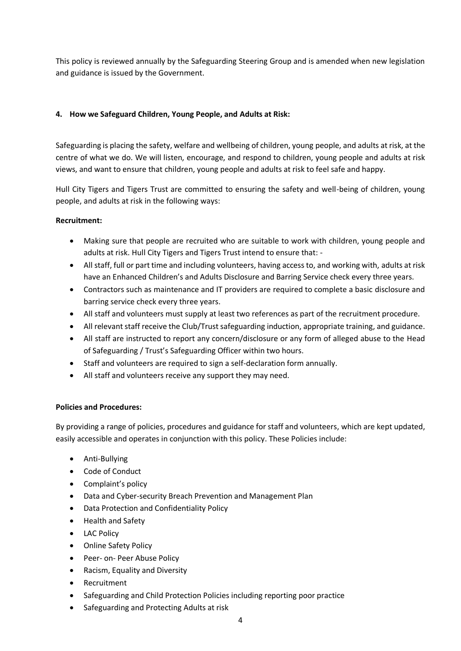This policy is reviewed annually by the Safeguarding Steering Group and is amended when new legislation and guidance is issued by the Government.

# <span id="page-3-0"></span>**4. How we Safeguard Children, Young People, and Adults at Risk:**

Safeguarding is placing the safety, welfare and wellbeing of children, young people, and adults at risk, at the centre of what we do. We will listen, encourage, and respond to children, young people and adults at risk views, and want to ensure that children, young people and adults at risk to feel safe and happy.

Hull City Tigers and Tigers Trust are committed to ensuring the safety and well-being of children, young people, and adults at risk in the following ways:

# **Recruitment:**

- Making sure that people are recruited who are suitable to work with children, young people and adults at risk. Hull City Tigers and Tigers Trust intend to ensure that: -
- All staff, full or part time and including volunteers, having access to, and working with, adults at risk have an Enhanced Children's and Adults Disclosure and Barring Service check every three years.
- Contractors such as maintenance and IT providers are required to complete a basic disclosure and barring service check every three years.
- All staff and volunteers must supply at least two references as part of the recruitment procedure.
- All relevant staff receive the Club/Trust safeguarding induction, appropriate training, and guidance.
- All staff are instructed to report any concern/disclosure or any form of alleged abuse to the Head of Safeguarding / Trust's Safeguarding Officer within two hours.
- Staff and volunteers are required to sign a self-declaration form annually.
- All staff and volunteers receive any support they may need.

# **Policies and Procedures:**

By providing a range of policies, procedures and guidance for staff and volunteers, which are kept updated, easily accessible and operates in conjunction with this policy. These Policies include:

- Anti-Bullying
- Code of Conduct
- Complaint's policy
- Data and Cyber-security Breach Prevention and Management Plan
- Data Protection and Confidentiality Policy
- Health and Safety
- LAC Policy
- Online Safety Policy
- Peer- on- Peer Abuse Policy
- Racism, Equality and Diversity
- Recruitment
- Safeguarding and Child Protection Policies including reporting poor practice
- Safeguarding and Protecting Adults at risk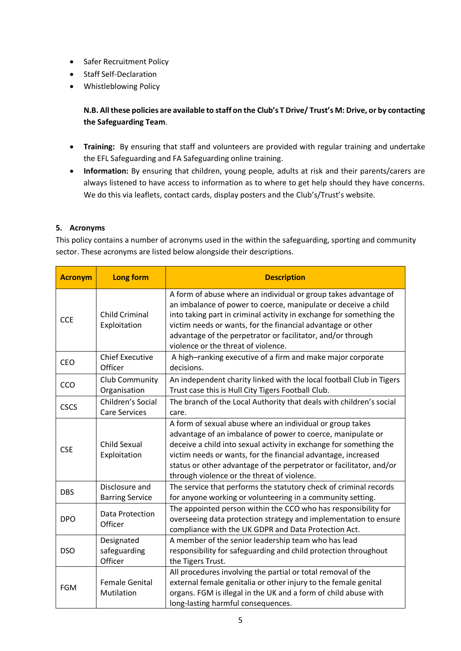- Safer Recruitment Policy
- Staff Self-Declaration
- Whistleblowing Policy

**N.B. All these policies are available to staff on the Club's T Drive/ Trust's M: Drive, or by contacting the Safeguarding Team**.

- **Training:** By ensuring that staff and volunteers are provided with regular training and undertake the EFL Safeguarding and FA Safeguarding online training.
- **Information:** By ensuring that children, young people, adults at risk and their parents/carers are always listened to have access to information as to where to get help should they have concerns. We do this via leaflets, contact cards, display posters and the Club's/Trust's website.

# <span id="page-4-0"></span>**5. Acronyms**

This policy contains a number of acronyms used in the within the safeguarding, sporting and community sector. These acronyms are listed below alongside their descriptions.

| <b>Acronym</b> | <b>Long form</b>                          | <b>Description</b>                                                                                                                                                                                                                                                                                                                                                                    |
|----------------|-------------------------------------------|---------------------------------------------------------------------------------------------------------------------------------------------------------------------------------------------------------------------------------------------------------------------------------------------------------------------------------------------------------------------------------------|
| <b>CCE</b>     | <b>Child Criminal</b><br>Exploitation     | A form of abuse where an individual or group takes advantage of<br>an imbalance of power to coerce, manipulate or deceive a child<br>into taking part in criminal activity in exchange for something the<br>victim needs or wants, for the financial advantage or other<br>advantage of the perpetrator or facilitator, and/or through<br>violence or the threat of violence.         |
| <b>CEO</b>     | <b>Chief Executive</b><br>Officer         | A high-ranking executive of a firm and make major corporate<br>decisions.                                                                                                                                                                                                                                                                                                             |
| CCO            | Club Community<br>Organisation            | An independent charity linked with the local football Club in Tigers<br>Trust case this is Hull City Tigers Football Club.                                                                                                                                                                                                                                                            |
| <b>CSCS</b>    | Children's Social<br><b>Care Services</b> | The branch of the Local Authority that deals with children's social<br>care.                                                                                                                                                                                                                                                                                                          |
| <b>CSE</b>     | Child Sexual<br>Exploitation              | A form of sexual abuse where an individual or group takes<br>advantage of an imbalance of power to coerce, manipulate or<br>deceive a child into sexual activity in exchange for something the<br>victim needs or wants, for the financial advantage, increased<br>status or other advantage of the perpetrator or facilitator, and/or<br>through violence or the threat of violence. |
| <b>DBS</b>     | Disclosure and<br><b>Barring Service</b>  | The service that performs the statutory check of criminal records<br>for anyone working or volunteering in a community setting.                                                                                                                                                                                                                                                       |
| <b>DPO</b>     | Data Protection<br>Officer                | The appointed person within the CCO who has responsibility for<br>overseeing data protection strategy and implementation to ensure<br>compliance with the UK GDPR and Data Protection Act.                                                                                                                                                                                            |
| <b>DSO</b>     | Designated<br>safeguarding<br>Officer     | A member of the senior leadership team who has lead<br>responsibility for safeguarding and child protection throughout<br>the Tigers Trust.                                                                                                                                                                                                                                           |
| <b>FGM</b>     | <b>Female Genital</b><br>Mutilation       | All procedures involving the partial or total removal of the<br>external female genitalia or other injury to the female genital<br>organs. FGM is illegal in the UK and a form of child abuse with<br>long-lasting harmful consequences.                                                                                                                                              |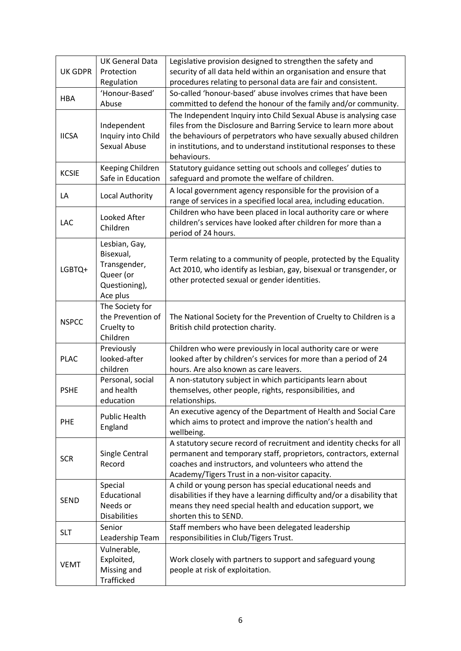| <b>UK GDPR</b> | <b>UK General Data</b><br>Protection<br>Regulation                                   | Legislative provision designed to strengthen the safety and<br>security of all data held within an organisation and ensure that<br>procedures relating to personal data are fair and consistent.                                                                                                 |
|----------------|--------------------------------------------------------------------------------------|--------------------------------------------------------------------------------------------------------------------------------------------------------------------------------------------------------------------------------------------------------------------------------------------------|
| <b>HBA</b>     | 'Honour-Based'<br>Abuse                                                              | So-called 'honour-based' abuse involves crimes that have been<br>committed to defend the honour of the family and/or community.                                                                                                                                                                  |
| <b>IICSA</b>   | Independent<br>Inquiry into Child<br>Sexual Abuse                                    | The Independent Inquiry into Child Sexual Abuse is analysing case<br>files from the Disclosure and Barring Service to learn more about<br>the behaviours of perpetrators who have sexually abused children<br>in institutions, and to understand institutional responses to these<br>behaviours. |
| <b>KCSIE</b>   | Keeping Children<br>Safe in Education                                                | Statutory guidance setting out schools and colleges' duties to<br>safeguard and promote the welfare of children.                                                                                                                                                                                 |
| LA             | Local Authority                                                                      | A local government agency responsible for the provision of a<br>range of services in a specified local area, including education.                                                                                                                                                                |
| LAC            | Looked After<br>Children                                                             | Children who have been placed in local authority care or where<br>children's services have looked after children for more than a<br>period of 24 hours.                                                                                                                                          |
| LGBTQ+         | Lesbian, Gay,<br>Bisexual,<br>Transgender,<br>Queer (or<br>Questioning),<br>Ace plus | Term relating to a community of people, protected by the Equality<br>Act 2010, who identify as lesbian, gay, bisexual or transgender, or<br>other protected sexual or gender identities.                                                                                                         |
| <b>NSPCC</b>   | The Society for<br>the Prevention of<br>Cruelty to<br>Children                       | The National Society for the Prevention of Cruelty to Children is a<br>British child protection charity.                                                                                                                                                                                         |
| <b>PLAC</b>    | Previously<br>looked-after<br>children                                               | Children who were previously in local authority care or were<br>looked after by children's services for more than a period of 24<br>hours. Are also known as care leavers.                                                                                                                       |
| <b>PSHE</b>    | Personal, social<br>and health<br>education                                          | A non-statutory subject in which participants learn about<br>themselves, other people, rights, responsibilities, and<br>relationships.                                                                                                                                                           |
| <b>PHE</b>     | <b>Public Health</b><br>England                                                      | An executive agency of the Department of Health and Social Care<br>which aims to protect and improve the nation's health and<br>wellbeing.                                                                                                                                                       |
| <b>SCR</b>     | Single Central<br>Record                                                             | A statutory secure record of recruitment and identity checks for all<br>permanent and temporary staff, proprietors, contractors, external<br>coaches and instructors, and volunteers who attend the<br>Academy/Tigers Trust in a non-visitor capacity.                                           |
| <b>SEND</b>    | Special<br>Educational<br>Needs or<br><b>Disabilities</b>                            | A child or young person has special educational needs and<br>disabilities if they have a learning difficulty and/or a disability that<br>means they need special health and education support, we<br>shorten this to SEND.                                                                       |
| <b>SLT</b>     | Senior<br>Leadership Team                                                            | Staff members who have been delegated leadership<br>responsibilities in Club/Tigers Trust.                                                                                                                                                                                                       |
| VEMT           | Vulnerable,<br>Exploited,<br>Missing and<br>Trafficked                               | Work closely with partners to support and safeguard young<br>people at risk of exploitation.                                                                                                                                                                                                     |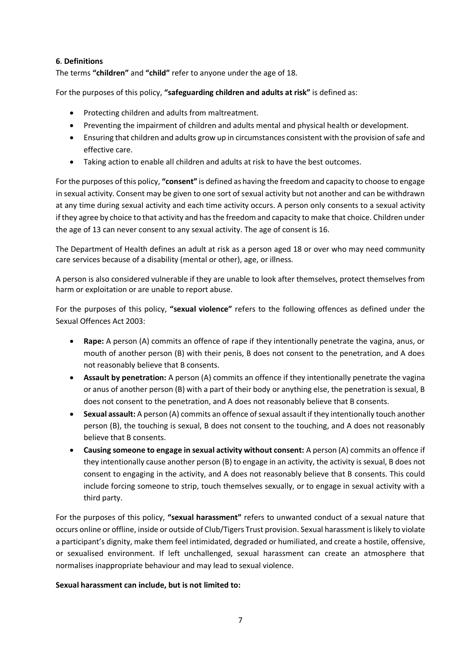# <span id="page-6-0"></span>**6. Definitions**

The terms **"children"** and **"child"** refer to anyone under the age of 18.

For the purposes of this policy, **"safeguarding children and adults at risk"** is defined as:

- Protecting children and adults from maltreatment.
- Preventing the impairment of children and adults mental and physical health or development.
- Ensuring that children and adults grow up in circumstances consistent with the provision of safe and effective care.
- Taking action to enable all children and adults at risk to have the best outcomes.

For the purposes of this policy, **"consent"** is defined as having the freedom and capacity to choose to engage in sexual activity. Consent may be given to one sort of sexual activity but not another and can be withdrawn at any time during sexual activity and each time activity occurs. A person only consents to a sexual activity if they agree by choice to that activity and has the freedom and capacity to make that choice. Children under the age of 13 can never consent to any sexual activity. The age of consent is 16.

The Department of Health defines an adult at risk as a person aged 18 or over who may need community care services because of a disability (mental or other), age, or illness.

A person is also considered vulnerable if they are unable to look after themselves, protect themselves from harm or exploitation or are unable to report abuse.

For the purposes of this policy, **"sexual violence"** refers to the following offences as defined under the Sexual Offences Act 2003:

- **Rape:** A person (A) commits an offence of rape if they intentionally penetrate the vagina, anus, or mouth of another person (B) with their penis, B does not consent to the penetration, and A does not reasonably believe that B consents.
- **Assault by penetration:** A person (A) commits an offence if they intentionally penetrate the vagina or anus of another person (B) with a part of their body or anything else, the penetration is sexual, B does not consent to the penetration, and A does not reasonably believe that B consents.
- **Sexual assault:** A person (A) commits an offence of sexual assault if they intentionally touch another person (B), the touching is sexual, B does not consent to the touching, and A does not reasonably believe that B consents.
- **Causing someone to engage in sexual activity without consent:** A person (A) commits an offence if they intentionally cause another person (B) to engage in an activity, the activity is sexual, B does not consent to engaging in the activity, and A does not reasonably believe that B consents. This could include forcing someone to strip, touch themselves sexually, or to engage in sexual activity with a third party.

For the purposes of this policy, **"sexual harassment"** refers to unwanted conduct of a sexual nature that occurs online or offline, inside or outside of Club/Tigers Trust provision. Sexual harassment is likely to violate a participant's dignity, make them feel intimidated, degraded or humiliated, and create a hostile, offensive, or sexualised environment. If left unchallenged, sexual harassment can create an atmosphere that normalises inappropriate behaviour and may lead to sexual violence.

#### **Sexual harassment can include, but is not limited to:**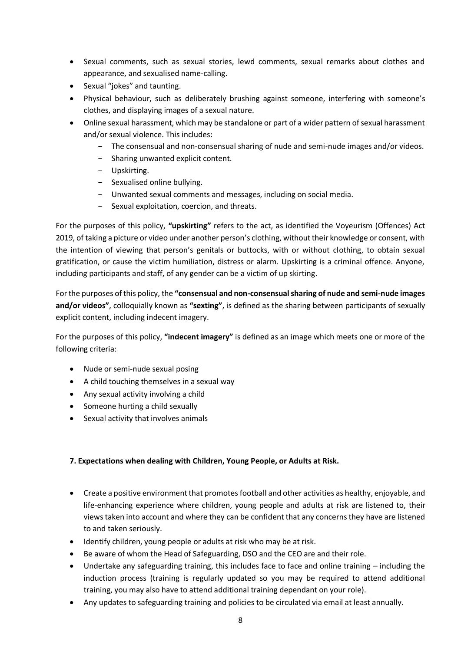- Sexual comments, such as sexual stories, lewd comments, sexual remarks about clothes and appearance, and sexualised name-calling.
- Sexual "jokes" and taunting.
- Physical behaviour, such as deliberately brushing against someone, interfering with someone's clothes, and displaying images of a sexual nature.
- Online sexual harassment, which may be standalone or part of a wider pattern of sexual harassment and/or sexual violence. This includes:
	- The consensual and non-consensual sharing of nude and semi-nude images and/or videos.
	- Sharing unwanted explicit content.
	- Upskirting.
	- Sexualised online bullying.
	- Unwanted sexual comments and messages, including on social media.
	- Sexual exploitation, coercion, and threats.

For the purposes of this policy, **"upskirting"** refers to the act, as identified the Voyeurism (Offences) Act 2019, of taking a picture or video under another person's clothing, without their knowledge or consent, with the intention of viewing that person's genitals or buttocks, with or without clothing, to obtain sexual gratification, or cause the victim humiliation, distress or alarm. Upskirting is a criminal offence. Anyone, including participants and staff, of any gender can be a victim of up skirting.

For the purposes of this policy, the **"consensual and non-consensual sharing of nude and semi-nude images and/or videos"**, colloquially known as **"sexting"**, is defined as the sharing between participants of sexually explicit content, including indecent imagery.

For the purposes of this policy, **"indecent imagery"** is defined as an image which meets one or more of the following criteria:

- Nude or semi-nude sexual posing
- A child touching themselves in a sexual way
- Any sexual activity involving a child
- Someone hurting a child sexually
- Sexual activity that involves animals

# <span id="page-7-0"></span>**7. Expectations when dealing with Children, Young People, or Adults at Risk.**

- Create a positive environment that promotes football and other activities as healthy, enjoyable, and life-enhancing experience where children, young people and adults at risk are listened to, their views taken into account and where they can be confident that any concerns they have are listened to and taken seriously.
- Identify children, young people or adults at risk who may be at risk.
- Be aware of whom the Head of Safeguarding, DSO and the CEO are and their role.
- Undertake any safeguarding training, this includes face to face and online training including the induction process (training is regularly updated so you may be required to attend additional training, you may also have to attend additional training dependant on your role).
- Any updates to safeguarding training and policies to be circulated via email at least annually.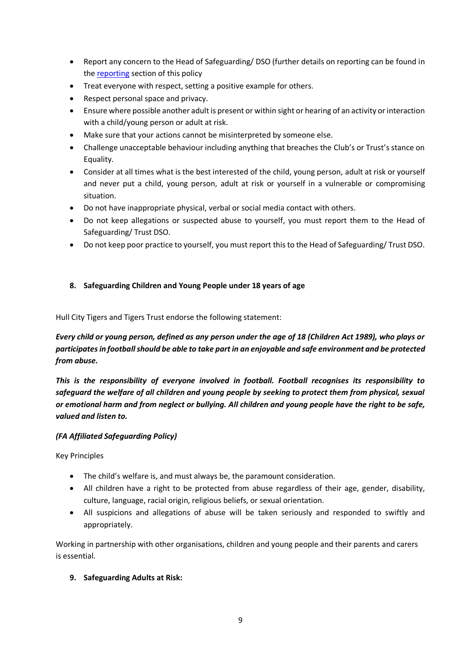- Report any concern to the Head of Safeguarding/ DSO (further details on reporting can be found in the [reporting](#page-28-0) section of this policy
- Treat everyone with respect, setting a positive example for others.
- Respect personal space and privacy.
- Ensure where possible another adult is present or within sight or hearing of an activity or interaction with a child/young person or adult at risk.
- Make sure that your actions cannot be misinterpreted by someone else.
- Challenge unacceptable behaviour including anything that breaches the Club's or Trust's stance on Equality.
- Consider at all times what is the best interested of the child, young person, adult at risk or yourself and never put a child, young person, adult at risk or yourself in a vulnerable or compromising situation.
- Do not have inappropriate physical, verbal or social media contact with others.
- Do not keep allegations or suspected abuse to yourself, you must report them to the Head of Safeguarding/ Trust DSO.
- Do not keep poor practice to yourself, you must report this to the Head of Safeguarding/ Trust DSO.

# <span id="page-8-0"></span>**8. Safeguarding Children and Young People under 18 years of age**

Hull City Tigers and Tigers Trust endorse the following statement:

*Every child or young person, defined as any person under the age of 18 (Children Act 1989), who plays or participates in football should be able to take part in an enjoyable and safe environment and be protected from abuse.*

*This is the responsibility of everyone involved in football. Football recognises its responsibility to safeguard the welfare of all children and young people by seeking to protect them from physical, sexual or emotional harm and from neglect or bullying. All children and young people have the right to be safe, valued and listen to.*

# *(FA Affiliated Safeguarding Policy)*

Key Principles

- The child's welfare is, and must always be, the paramount consideration.
- All children have a right to be protected from abuse regardless of their age, gender, disability, culture, language, racial origin, religious beliefs, or sexual orientation.
- All suspicions and allegations of abuse will be taken seriously and responded to swiftly and appropriately.

Working in partnership with other organisations, children and young people and their parents and carers is essential.

# <span id="page-8-1"></span>**9. Safeguarding Adults at Risk:**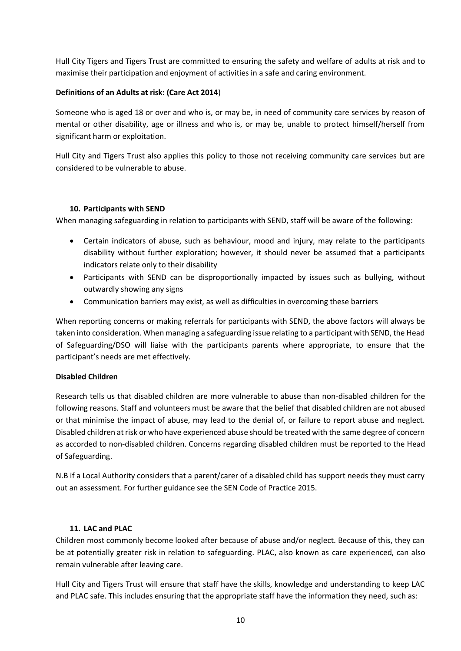Hull City Tigers and Tigers Trust are committed to ensuring the safety and welfare of adults at risk and to maximise their participation and enjoyment of activities in a safe and caring environment.

# **Definitions of an Adults at risk: (Care Act 2014**)

Someone who is aged 18 or over and who is, or may be, in need of community care services by reason of mental or other disability, age or illness and who is, or may be, unable to protect himself/herself from significant harm or exploitation.

Hull City and Tigers Trust also applies this policy to those not receiving community care services but are considered to be vulnerable to abuse.

### **10. Participants with SEND**

<span id="page-9-0"></span>When managing safeguarding in relation to participants with SEND, staff will be aware of the following:

- Certain indicators of abuse, such as behaviour, mood and injury, may relate to the participants disability without further exploration; however, it should never be assumed that a participants indicators relate only to their disability
- Participants with SEND can be disproportionally impacted by issues such as bullying, without outwardly showing any signs
- Communication barriers may exist, as well as difficulties in overcoming these barriers

When reporting concerns or making referrals for participants with SEND, the above factors will always be taken into consideration. When managing a safeguarding issue relating to a participant with SEND, the Head of Safeguarding/DSO will liaise with the participants parents where appropriate, to ensure that the participant's needs are met effectively.

#### **Disabled Children**

Research tells us that disabled children are more vulnerable to abuse than non-disabled children for the following reasons. Staff and volunteers must be aware that the belief that disabled children are not abused or that minimise the impact of abuse, may lead to the denial of, or failure to report abuse and neglect. Disabled children at risk or who have experienced abuse should be treated with the same degree of concern as accorded to non-disabled children. Concerns regarding disabled children must be reported to the Head of Safeguarding.

N.B if a Local Authority considers that a parent/carer of a disabled child has support needs they must carry out an assessment. For further guidance see the SEN Code of Practice 2015.

#### **11. LAC and PLAC**

<span id="page-9-1"></span>Children most commonly become looked after because of abuse and/or neglect. Because of this, they can be at potentially greater risk in relation to safeguarding. PLAC, also known as care experienced, can also remain vulnerable after leaving care.

Hull City and Tigers Trust will ensure that staff have the skills, knowledge and understanding to keep LAC and PLAC safe. This includes ensuring that the appropriate staff have the information they need, such as: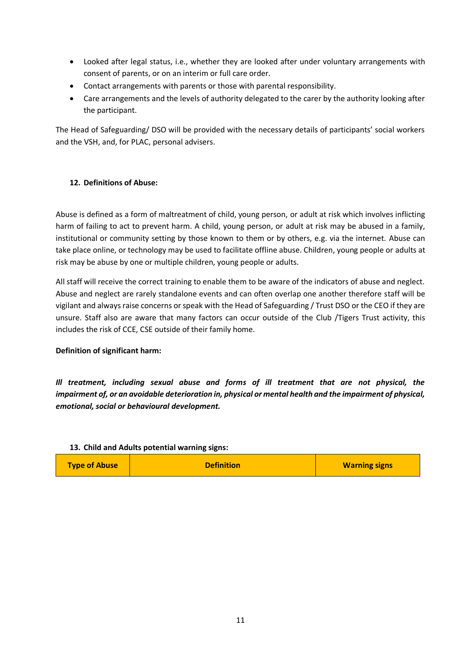- Looked after legal status, i.e., whether they are looked after under voluntary arrangements with consent of parents, or on an interim or full care order.
- Contact arrangements with parents or those with parental responsibility.
- Care arrangements and the levels of authority delegated to the carer by the authority looking after the participant.

The Head of Safeguarding/ DSO will be provided with the necessary details of participants' social workers and the VSH, and, for PLAC, personal advisers.

# <span id="page-10-0"></span>**12. Definitions of Abuse:**

Abuse is defined as a form of maltreatment of child, young person, or adult at risk which involves inflicting harm of failing to act to prevent harm. A child, young person, or adult at risk may be abused in a family, institutional or community setting by those known to them or by others, e.g. via the internet. Abuse can take place online, or technology may be used to facilitate offline abuse. Children, young people or adults at risk may be abuse by one or multiple children, young people or adults.

All staff will receive the correct training to enable them to be aware of the indicators of abuse and neglect. Abuse and neglect are rarely standalone events and can often overlap one another therefore staff will be vigilant and always raise concerns or speak with the Head of Safeguarding / Trust DSO or the CEO if they are unsure. Staff also are aware that many factors can occur outside of the Club /Tigers Trust activity, this includes the risk of CCE, CSE outside of their family home.

#### **Definition of significant harm:**

*Ill treatment, including sexual abuse and forms of ill treatment that are not physical, the impairment of, or an avoidable deterioration in, physical or mental health and the impairment of physical, emotional, social or behavioural development.*

#### <span id="page-10-1"></span>**13. Child and Adults potential warning signs:**

| <b>Type of Abuse</b><br><b>Definition</b> | <b>Warning signs</b> |
|-------------------------------------------|----------------------|
|-------------------------------------------|----------------------|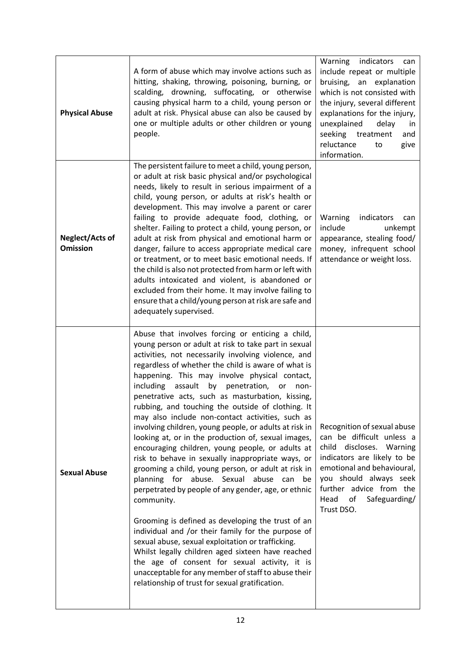<span id="page-11-2"></span><span id="page-11-1"></span><span id="page-11-0"></span>

| <b>Physical Abuse</b>                     | A form of abuse which may involve actions such as<br>hitting, shaking, throwing, poisoning, burning, or<br>scalding, drowning, suffocating, or otherwise<br>causing physical harm to a child, young person or<br>adult at risk. Physical abuse can also be caused by<br>one or multiple adults or other children or young<br>people.                                                                                                                                                                                                                                                                                                                                                                                                                                                                                                                                                                                                                                                                                                                                                                                                                                                                                                                                                 | Warning<br>indicators<br>can<br>include repeat or multiple<br>bruising, an explanation<br>which is not consisted with<br>the injury, several different<br>explanations for the injury,<br>unexplained<br>delay<br>in<br>seeking treatment<br>and<br>reluctance<br>give<br>to<br>information. |
|-------------------------------------------|--------------------------------------------------------------------------------------------------------------------------------------------------------------------------------------------------------------------------------------------------------------------------------------------------------------------------------------------------------------------------------------------------------------------------------------------------------------------------------------------------------------------------------------------------------------------------------------------------------------------------------------------------------------------------------------------------------------------------------------------------------------------------------------------------------------------------------------------------------------------------------------------------------------------------------------------------------------------------------------------------------------------------------------------------------------------------------------------------------------------------------------------------------------------------------------------------------------------------------------------------------------------------------------|----------------------------------------------------------------------------------------------------------------------------------------------------------------------------------------------------------------------------------------------------------------------------------------------|
| <b>Neglect/Acts of</b><br><b>Omission</b> | The persistent failure to meet a child, young person,<br>or adult at risk basic physical and/or psychological<br>needs, likely to result in serious impairment of a<br>child, young person, or adults at risk's health or<br>development. This may involve a parent or carer<br>failing to provide adequate food, clothing, or<br>shelter. Failing to protect a child, young person, or<br>adult at risk from physical and emotional harm or<br>danger, failure to access appropriate medical care<br>or treatment, or to meet basic emotional needs. If<br>the child is also not protected from harm or left with<br>adults intoxicated and violent, is abandoned or<br>excluded from their home. It may involve failing to<br>ensure that a child/young person at risk are safe and<br>adequately supervised.                                                                                                                                                                                                                                                                                                                                                                                                                                                                      | Warning<br>indicators<br>can<br>include<br>unkempt<br>appearance, stealing food/<br>money, infrequent school<br>attendance or weight loss.                                                                                                                                                   |
| <b>Sexual Abuse</b>                       | Abuse that involves forcing or enticing a child,<br>young person or adult at risk to take part in sexual<br>activities, not necessarily involving violence, and<br>regardless of whether the child is aware of what is<br>happening. This may involve physical contact,<br>by<br>including<br>assault<br>penetration,<br>or<br>non-<br>penetrative acts, such as masturbation, kissing,<br>rubbing, and touching the outside of clothing. It<br>may also include non-contact activities, such as<br>involving children, young people, or adults at risk in<br>looking at, or in the production of, sexual images,<br>encouraging children, young people, or adults at<br>risk to behave in sexually inappropriate ways, or<br>grooming a child, young person, or adult at risk in<br>planning for abuse. Sexual abuse can<br>be<br>perpetrated by people of any gender, age, or ethnic<br>community.<br>Grooming is defined as developing the trust of an<br>individual and /or their family for the purpose of<br>sexual abuse, sexual exploitation or trafficking.<br>Whilst legally children aged sixteen have reached<br>the age of consent for sexual activity, it is<br>unacceptable for any member of staff to abuse their<br>relationship of trust for sexual gratification. | Recognition of sexual abuse<br>can be difficult unless a<br>child discloses. Warning<br>indicators are likely to be<br>emotional and behavioural,<br>you should always seek<br>further advice from the<br>Safeguarding/<br>Head<br>of<br>Trust DSO.                                          |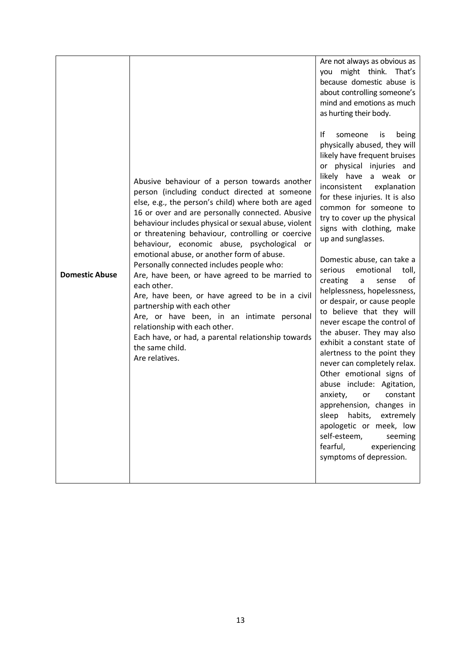<span id="page-12-0"></span>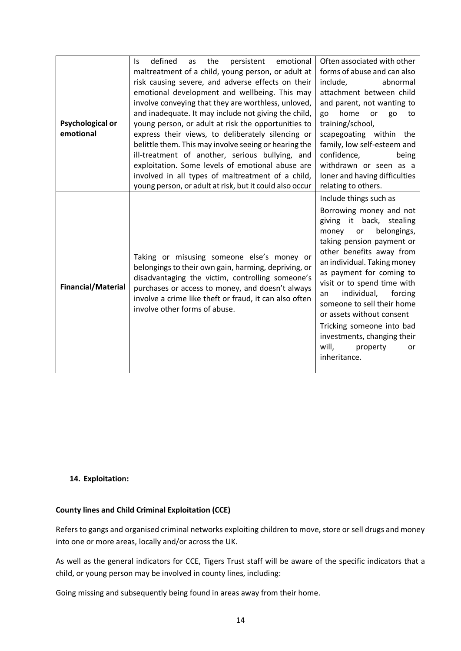<span id="page-13-0"></span>

| <b>Psychological or</b><br>emotional | defined<br>the<br>emotional<br>persistent<br>ls.<br>as<br>maltreatment of a child, young person, or adult at<br>risk causing severe, and adverse effects on their<br>emotional development and wellbeing. This may<br>involve conveying that they are worthless, unloved,<br>and inadequate. It may include not giving the child,<br>young person, or adult at risk the opportunities to<br>express their views, to deliberately silencing or<br>belittle them. This may involve seeing or hearing the<br>ill-treatment of another, serious bullying, and<br>exploitation. Some levels of emotional abuse are<br>involved in all types of maltreatment of a child,<br>young person, or adult at risk, but it could also occur | Often associated with other<br>forms of abuse and can also<br>include,<br>abnormal<br>attachment between child<br>and parent, not wanting to<br>home<br>or<br>go<br>go<br>to<br>training/school,<br>scapegoating within<br>the<br>family, low self-esteem and<br>confidence,<br>being<br>withdrawn or seen as a<br>loner and having difficulties<br>relating to others.                                                                                          |
|--------------------------------------|-------------------------------------------------------------------------------------------------------------------------------------------------------------------------------------------------------------------------------------------------------------------------------------------------------------------------------------------------------------------------------------------------------------------------------------------------------------------------------------------------------------------------------------------------------------------------------------------------------------------------------------------------------------------------------------------------------------------------------|------------------------------------------------------------------------------------------------------------------------------------------------------------------------------------------------------------------------------------------------------------------------------------------------------------------------------------------------------------------------------------------------------------------------------------------------------------------|
| <b>Financial/Material</b>            | Taking or misusing someone else's money or<br>belongings to their own gain, harming, depriving, or<br>disadvantaging the victim, controlling someone's<br>purchases or access to money, and doesn't always<br>involve a crime like theft or fraud, it can also often<br>involve other forms of abuse.                                                                                                                                                                                                                                                                                                                                                                                                                         | Include things such as<br>Borrowing money and not<br>giving it back, stealing<br>belongings,<br>money<br>or<br>taking pension payment or<br>other benefits away from<br>an individual. Taking money<br>as payment for coming to<br>visit or to spend time with<br>individual,<br>forcing<br>an<br>someone to sell their home<br>or assets without consent<br>Tricking someone into bad<br>investments, changing their<br>will,<br>property<br>or<br>inheritance. |

#### <span id="page-13-2"></span><span id="page-13-1"></span>**14. Exploitation:**

# **County lines and Child Criminal Exploitation (CCE)**

Refers to gangs and organised criminal networks exploiting children to move, store or sell drugs and money into one or more areas, locally and/or across the UK.

As well as the general indicators for CCE, Tigers Trust staff will be aware of the specific indicators that a child, or young person may be involved in county lines, including:

Going missing and subsequently being found in areas away from their home.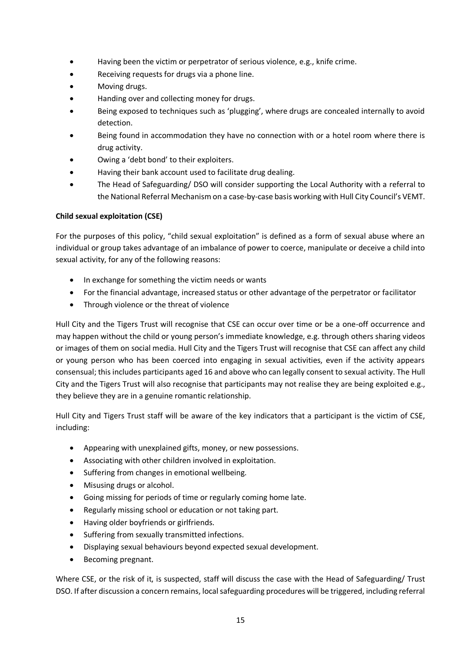- Having been the victim or perpetrator of serious violence, e.g., knife crime.
- Receiving requests for drugs via a phone line.
- Moving drugs.
- Handing over and collecting money for drugs.
- Being exposed to techniques such as 'plugging', where drugs are concealed internally to avoid detection.
- Being found in accommodation they have no connection with or a hotel room where there is drug activity.
- Owing a 'debt bond' to their exploiters.
- Having their bank account used to facilitate drug dealing.
- The Head of Safeguarding/ DSO will consider supporting the Local Authority with a referral to the National Referral Mechanism on a case-by-case basis working with Hull City Council's VEMT.

# **Child sexual exploitation (CSE)**

For the purposes of this policy, "child sexual exploitation" is defined as a form of sexual abuse where an individual or group takes advantage of an imbalance of power to coerce, manipulate or deceive a child into sexual activity, for any of the following reasons:

- In exchange for something the victim needs or wants
- For the financial advantage, increased status or other advantage of the perpetrator or facilitator
- Through violence or the threat of violence

Hull City and the Tigers Trust will recognise that CSE can occur over time or be a one-off occurrence and may happen without the child or young person's immediate knowledge, e.g. through others sharing videos or images of them on social media. Hull City and the Tigers Trust will recognise that CSE can affect any child or young person who has been coerced into engaging in sexual activities, even if the activity appears consensual; this includes participants aged 16 and above who can legally consent to sexual activity. The Hull City and the Tigers Trust will also recognise that participants may not realise they are being exploited e.g., they believe they are in a genuine romantic relationship.

Hull City and Tigers Trust staff will be aware of the key indicators that a participant is the victim of CSE, including:

- Appearing with unexplained gifts, money, or new possessions.
- Associating with other children involved in exploitation.
- Suffering from changes in emotional wellbeing.
- Misusing drugs or alcohol.
- Going missing for periods of time or regularly coming home late.
- Regularly missing school or education or not taking part.
- Having older boyfriends or girlfriends.
- Suffering from sexually transmitted infections.
- Displaying sexual behaviours beyond expected sexual development.
- Becoming pregnant.

Where CSE, or the risk of it, is suspected, staff will discuss the case with the Head of Safeguarding/ Trust DSO. If after discussion a concern remains, local safeguarding procedures will be triggered, including referral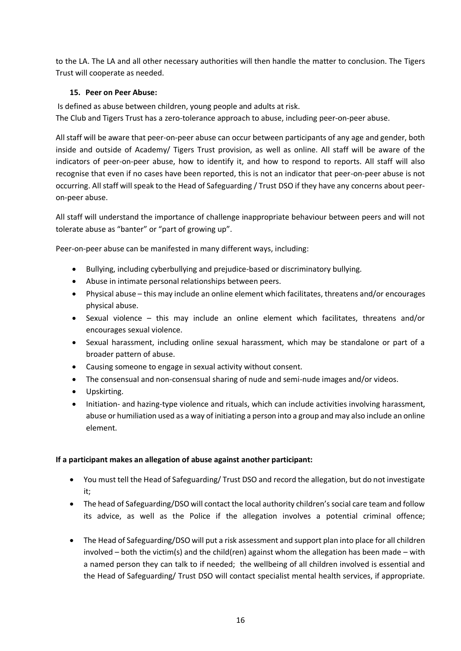to the LA. The LA and all other necessary authorities will then handle the matter to conclusion. The Tigers Trust will cooperate as needed.

# <span id="page-15-0"></span>**15. Peer on Peer Abuse:**

Is defined as abuse between children, young people and adults at risk. The Club and Tigers Trust has a zero-tolerance approach to abuse, including peer-on-peer abuse.

All staff will be aware that peer-on-peer abuse can occur between participants of any age and gender, both inside and outside of Academy/ Tigers Trust provision, as well as online. All staff will be aware of the indicators of peer-on-peer abuse, how to identify it, and how to respond to reports. All staff will also recognise that even if no cases have been reported, this is not an indicator that peer-on-peer abuse is not occurring. All staff will speak to the Head of Safeguarding / Trust DSO if they have any concerns about peeron-peer abuse.

All staff will understand the importance of challenge inappropriate behaviour between peers and will not tolerate abuse as "banter" or "part of growing up".

Peer-on-peer abuse can be manifested in many different ways, including:

- Bullying, including cyberbullying and prejudice-based or discriminatory bullying.
- Abuse in intimate personal relationships between peers.
- Physical abuse this may include an online element which facilitates, threatens and/or encourages physical abuse.
- Sexual violence this may include an online element which facilitates, threatens and/or encourages sexual violence.
- Sexual harassment, including online sexual harassment, which may be standalone or part of a broader pattern of abuse.
- Causing someone to engage in sexual activity without consent.
- The consensual and non-consensual sharing of nude and semi-nude images and/or videos.
- Upskirting.
- Initiation- and hazing-type violence and rituals, which can include activities involving harassment, abuse or humiliation used as a way of initiating a person into a group and may also include an online element.

# **If a participant makes an allegation of abuse against another participant:**

- You must tell the Head of Safeguarding/ Trust DSO and record the allegation, but do not investigate it;
- The head of Safeguarding/DSO will contact the local authority children's social care team and follow its advice, as well as the Police if the allegation involves a potential criminal offence;
- The Head of Safeguarding/DSO will put a risk assessment and support plan into place for all children involved – both the victim(s) and the child(ren) against whom the allegation has been made – with a named person they can talk to if needed; the wellbeing of all children involved is essential and the Head of Safeguarding/ Trust DSO will contact specialist mental health services, if appropriate.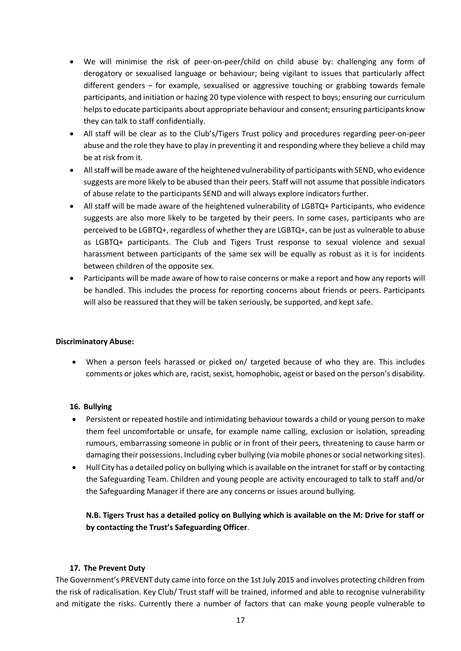- We will minimise the risk of peer-on-peer/child on child abuse by: challenging any form of derogatory or sexualised language or behaviour; being vigilant to issues that particularly affect different genders – for example, sexualised or aggressive touching or grabbing towards female participants, and initiation or hazing 20 type violence with respect to boys; ensuring our curriculum helps to educate participants about appropriate behaviour and consent; ensuring participants know they can talk to staff confidentially.
- All staff will be clear as to the Club's/Tigers Trust policy and procedures regarding peer-on-peer abuse and the role they have to play in preventing it and responding where they believe a child may be at risk from it.
- All staff will be made aware of the heightened vulnerability of participants with SEND, who evidence suggests are more likely to be abused than their peers. Staff will not assume that possible indicators of abuse relate to the participants SEND and will always explore indicators further.
- All staff will be made aware of the heightened vulnerability of LGBTQ+ Participants, who evidence suggests are also more likely to be targeted by their peers. In some cases, participants who are perceived to be LGBTQ+, regardless of whether they are LGBTQ+, can be just as vulnerable to abuse as LGBTQ+ participants. The Club and Tigers Trust response to sexual violence and sexual harassment between participants of the same sex will be equally as robust as it is for incidents between children of the opposite sex.
- Participants will be made aware of how to raise concerns or make a report and how any reports will be handled. This includes the process for reporting concerns about friends or peers. Participants will also be reassured that they will be taken seriously, be supported, and kept safe.

# **Discriminatory Abuse:**

• When a person feels harassed or picked on/ targeted because of who they are. This includes comments or jokes which are, racist, sexist, homophobic, ageist or based on the person's disability.

#### <span id="page-16-0"></span>**16. Bullying**

- Persistent or repeated hostile and intimidating behaviour towards a child or young person to make them feel uncomfortable or unsafe, for example name calling, exclusion or isolation, spreading rumours, embarrassing someone in public or in front of their peers, threatening to cause harm or damaging their possessions. Including cyber bullying (via mobile phones or social networking sites).
- Hull City has a detailed policy on bullying which is available on the intranet for staff or by contacting the Safeguarding Team. Children and young people are activity encouraged to talk to staff and/or the Safeguarding Manager if there are any concerns or issues around bullying.

**N.B. Tigers Trust has a detailed policy on Bullying which is available on the M: Drive for staff or by contacting the Trust's Safeguarding Officer**.

#### **17. The Prevent Duty**

<span id="page-16-1"></span>The Government's PREVENT duty came into force on the 1st July 2015 and involves protecting children from the risk of radicalisation. Key Club/ Trust staff will be trained, informed and able to recognise vulnerability and mitigate the risks. Currently there a number of factors that can make young people vulnerable to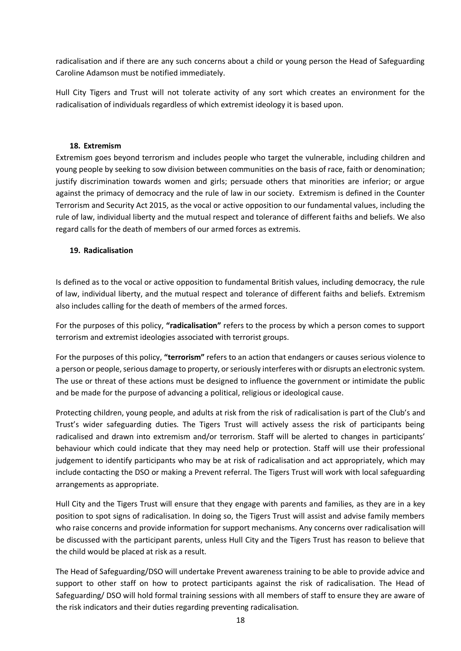radicalisation and if there are any such concerns about a child or young person the Head of Safeguarding Caroline Adamson must be notified immediately.

Hull City Tigers and Trust will not tolerate activity of any sort which creates an environment for the radicalisation of individuals regardless of which extremist ideology it is based upon.

# **18. Extremism**

<span id="page-17-0"></span>Extremism goes beyond terrorism and includes people who target the vulnerable, including children and young people by seeking to sow division between communities on the basis of race, faith or denomination; justify discrimination towards women and girls; persuade others that minorities are inferior; or argue against the primacy of democracy and the rule of law in our society. Extremism is defined in the Counter Terrorism and Security Act 2015, as the vocal or active opposition to our fundamental values, including the rule of law, individual liberty and the mutual respect and tolerance of different faiths and beliefs. We also regard calls for the death of members of our armed forces as extremis.

### <span id="page-17-1"></span>**19. Radicalisation**

Is defined as to the vocal or active opposition to fundamental British values, including democracy, the rule of law, individual liberty, and the mutual respect and tolerance of different faiths and beliefs. Extremism also includes calling for the death of members of the armed forces.

For the purposes of this policy, **"radicalisation"** refers to the process by which a person comes to support terrorism and extremist ideologies associated with terrorist groups.

For the purposes of this policy, **"terrorism"** refers to an action that endangers or causes serious violence to a person or people, serious damage to property, or seriously interferes with or disrupts an electronic system. The use or threat of these actions must be designed to influence the government or intimidate the public and be made for the purpose of advancing a political, religious or ideological cause.

Protecting children, young people, and adults at risk from the risk of radicalisation is part of the Club's and Trust's wider safeguarding duties. The Tigers Trust will actively assess the risk of participants being radicalised and drawn into extremism and/or terrorism. Staff will be alerted to changes in participants' behaviour which could indicate that they may need help or protection. Staff will use their professional judgement to identify participants who may be at risk of radicalisation and act appropriately, which may include contacting the DSO or making a Prevent referral. The Tigers Trust will work with local safeguarding arrangements as appropriate.

Hull City and the Tigers Trust will ensure that they engage with parents and families, as they are in a key position to spot signs of radicalisation. In doing so, the Tigers Trust will assist and advise family members who raise concerns and provide information for support mechanisms. Any concerns over radicalisation will be discussed with the participant parents, unless Hull City and the Tigers Trust has reason to believe that the child would be placed at risk as a result.

The Head of Safeguarding/DSO will undertake Prevent awareness training to be able to provide advice and support to other staff on how to protect participants against the risk of radicalisation. The Head of Safeguarding/ DSO will hold formal training sessions with all members of staff to ensure they are aware of the risk indicators and their duties regarding preventing radicalisation.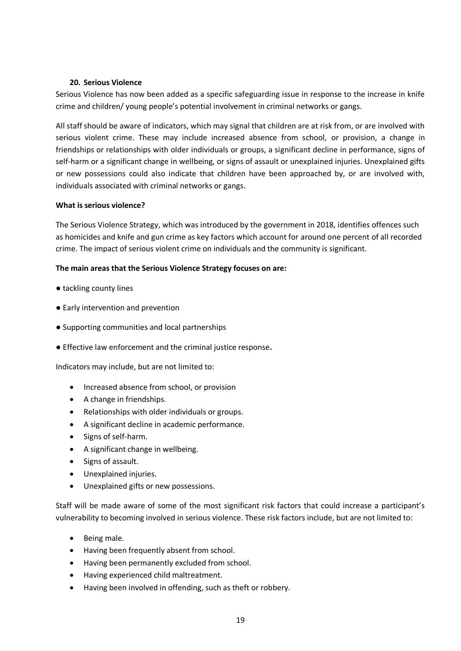#### **20. Serious Violence**

<span id="page-18-0"></span>Serious Violence has now been added as a specific safeguarding issue in response to the increase in knife crime and children/ young people's potential involvement in criminal networks or gangs.

All staff should be aware of indicators, which may signal that children are at risk from, or are involved with serious violent crime. These may include increased absence from school, or provision, a change in friendships or relationships with older individuals or groups, a significant decline in performance, signs of self-harm or a significant change in wellbeing, or signs of assault or unexplained injuries. Unexplained gifts or new possessions could also indicate that children have been approached by, or are involved with, individuals associated with criminal networks or gangs.

# **What is serious violence?**

The Serious Violence Strategy, which was introduced by the government in 2018, identifies offences such as homicides and knife and gun crime as key factors which account for around one percent of all recorded crime. The impact of serious violent crime on individuals and the community is significant.

### **The main areas that the Serious Violence Strategy focuses on are:**

- tackling county lines
- Early intervention and prevention
- Supporting communities and local partnerships
- Effective law enforcement and the criminal justice response**.**

Indicators may include, but are not limited to:

- Increased absence from school, or provision
- A change in friendships.
- Relationships with older individuals or groups.
- A significant decline in academic performance.
- Signs of self-harm.
- A significant change in wellbeing.
- Signs of assault.
- Unexplained injuries.
- Unexplained gifts or new possessions.

Staff will be made aware of some of the most significant risk factors that could increase a participant's vulnerability to becoming involved in serious violence. These risk factors include, but are not limited to:

- Being male.
- Having been frequently absent from school.
- Having been permanently excluded from school.
- Having experienced child maltreatment.
- Having been involved in offending, such as theft or robbery.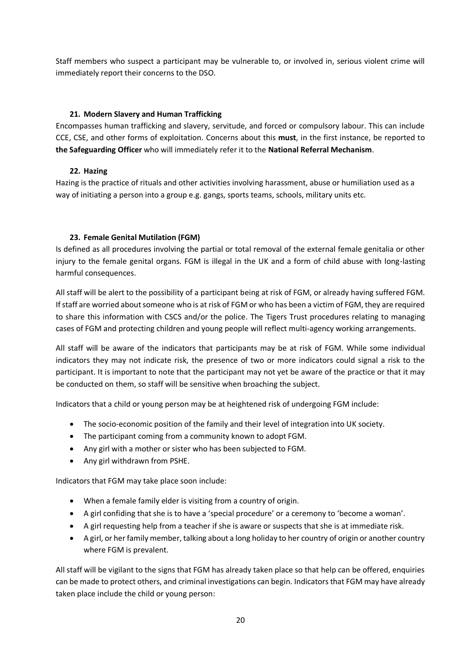Staff members who suspect a participant may be vulnerable to, or involved in, serious violent crime will immediately report their concerns to the DSO.

# **21. Modern Slavery and Human Trafficking**

<span id="page-19-0"></span>Encompasses human trafficking and slavery, servitude, and forced or compulsory labour. This can include CCE, CSE, and other forms of exploitation. Concerns about this **must**, in the first instance, be reported to **the Safeguarding Officer** who will immediately refer it to the **National Referral Mechanism**.

# **22. Hazing**

<span id="page-19-1"></span>Hazing is the practice of rituals and other activities involving harassment, abuse or humiliation used as a way of initiating a person into a group e.g. gangs, sports teams, schools, military units etc.

# <span id="page-19-2"></span>**23. Female Genital Mutilation (FGM)**

Is defined as all procedures involving the partial or total removal of the external female genitalia or other injury to the female genital organs. FGM is illegal in the UK and a form of child abuse with long-lasting harmful consequences.

All staff will be alert to the possibility of a participant being at risk of FGM, or already having suffered FGM. If staff are worried about someone who is at risk of FGM or who has been a victim of FGM, they are required to share this information with CSCS and/or the police. The Tigers Trust procedures relating to managing cases of FGM and protecting children and young people will reflect multi-agency working arrangements.

All staff will be aware of the indicators that participants may be at risk of FGM. While some individual indicators they may not indicate risk, the presence of two or more indicators could signal a risk to the participant. It is important to note that the participant may not yet be aware of the practice or that it may be conducted on them, so staff will be sensitive when broaching the subject.

Indicators that a child or young person may be at heightened risk of undergoing FGM include:

- The socio-economic position of the family and their level of integration into UK society.
- The participant coming from a community known to adopt FGM.
- Any girl with a mother or sister who has been subjected to FGM.
- Any girl withdrawn from PSHE.

Indicators that FGM may take place soon include:

- When a female family elder is visiting from a country of origin.
- A girl confiding that she is to have a 'special procedure' or a ceremony to 'become a woman'.
- A girl requesting help from a teacher if she is aware or suspects that she is at immediate risk.
- A girl, or her family member, talking about a long holiday to her country of origin or another country where FGM is prevalent.

All staff will be vigilant to the signs that FGM has already taken place so that help can be offered, enquiries can be made to protect others, and criminal investigations can begin. Indicators that FGM may have already taken place include the child or young person: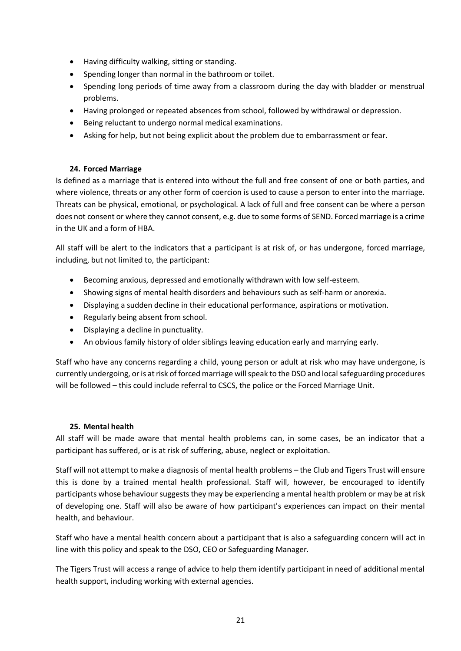- Having difficulty walking, sitting or standing.
- Spending longer than normal in the bathroom or toilet.
- Spending long periods of time away from a classroom during the day with bladder or menstrual problems.
- Having prolonged or repeated absences from school, followed by withdrawal or depression.
- Being reluctant to undergo normal medical examinations.
- Asking for help, but not being explicit about the problem due to embarrassment or fear.

# **24. Forced Marriage**

<span id="page-20-0"></span>Is defined as a marriage that is entered into without the full and free consent of one or both parties, and where violence, threats or any other form of coercion is used to cause a person to enter into the marriage. Threats can be physical, emotional, or psychological. A lack of full and free consent can be where a person does not consent or where they cannot consent, e.g. due to some forms of SEND. Forced marriage is a crime in the UK and a form of HBA.

All staff will be alert to the indicators that a participant is at risk of, or has undergone, forced marriage, including, but not limited to, the participant:

- Becoming anxious, depressed and emotionally withdrawn with low self-esteem.
- Showing signs of mental health disorders and behaviours such as self-harm or anorexia.
- Displaying a sudden decline in their educational performance, aspirations or motivation.
- Regularly being absent from school.
- Displaying a decline in punctuality.
- An obvious family history of older siblings leaving education early and marrying early.

Staff who have any concerns regarding a child, young person or adult at risk who may have undergone, is currently undergoing, or is at risk of forced marriage will speak to the DSO and local safeguarding procedures will be followed – this could include referral to CSCS, the police or the Forced Marriage Unit.

#### **25. Mental health**

<span id="page-20-1"></span>All staff will be made aware that mental health problems can, in some cases, be an indicator that a participant has suffered, or is at risk of suffering, abuse, neglect or exploitation.

Staff will not attempt to make a diagnosis of mental health problems – the Club and Tigers Trust will ensure this is done by a trained mental health professional. Staff will, however, be encouraged to identify participants whose behaviour suggests they may be experiencing a mental health problem or may be at risk of developing one. Staff will also be aware of how participant's experiences can impact on their mental health, and behaviour.

Staff who have a mental health concern about a participant that is also a safeguarding concern will act in line with this policy and speak to the DSO, CEO or Safeguarding Manager.

The Tigers Trust will access a range of advice to help them identify participant in need of additional mental health support, including working with external agencies.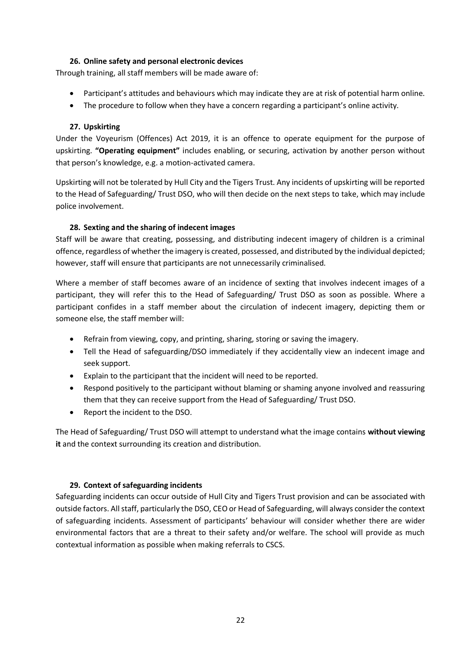# **26. Online safety and personal electronic devices**

<span id="page-21-0"></span>Through training, all staff members will be made aware of:

- Participant's attitudes and behaviours which may indicate they are at risk of potential harm online.
- The procedure to follow when they have a concern regarding a participant's online activity.

### **27. Upskirting**

<span id="page-21-1"></span>Under the Voyeurism (Offences) Act 2019, it is an offence to operate equipment for the purpose of upskirting. **"Operating equipment"** includes enabling, or securing, activation by another person without that person's knowledge, e.g. a motion-activated camera.

Upskirting will not be tolerated by Hull City and the Tigers Trust. Any incidents of upskirting will be reported to the Head of Safeguarding/ Trust DSO, who will then decide on the next steps to take, which may include police involvement.

# **28. Sexting and the sharing of indecent images**

<span id="page-21-2"></span>Staff will be aware that creating, possessing, and distributing indecent imagery of children is a criminal offence, regardless of whether the imagery is created, possessed, and distributed by the individual depicted; however, staff will ensure that participants are not unnecessarily criminalised.

Where a member of staff becomes aware of an incidence of sexting that involves indecent images of a participant, they will refer this to the Head of Safeguarding/ Trust DSO as soon as possible. Where a participant confides in a staff member about the circulation of indecent imagery, depicting them or someone else, the staff member will:

- Refrain from viewing, copy, and printing, sharing, storing or saving the imagery.
- Tell the Head of safeguarding/DSO immediately if they accidentally view an indecent image and seek support.
- Explain to the participant that the incident will need to be reported.
- Respond positively to the participant without blaming or shaming anyone involved and reassuring them that they can receive support from the Head of Safeguarding/ Trust DSO.
- Report the incident to the DSO.

The Head of Safeguarding/ Trust DSO will attempt to understand what the image contains **without viewing it** and the context surrounding its creation and distribution.

# **29. Context of safeguarding incidents**

<span id="page-21-3"></span>Safeguarding incidents can occur outside of Hull City and Tigers Trust provision and can be associated with outside factors. All staff, particularly the DSO, CEO or Head of Safeguarding, will always consider the context of safeguarding incidents. Assessment of participants' behaviour will consider whether there are wider environmental factors that are a threat to their safety and/or welfare. The school will provide as much contextual information as possible when making referrals to CSCS.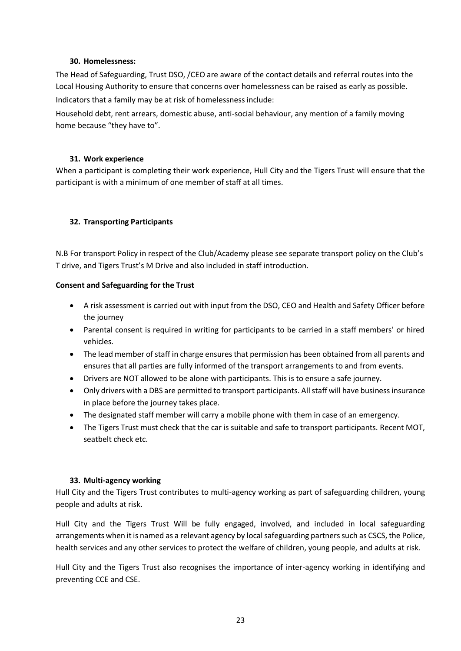#### **30. Homelessness:**

<span id="page-22-0"></span>The Head of Safeguarding, Trust DSO, /CEO are aware of the contact details and referral routes into the Local Housing Authority to ensure that concerns over homelessness can be raised as early as possible. Indicators that a family may be at risk of homelessness include:

Household debt, rent arrears, domestic abuse, anti-social behaviour, any mention of a family moving home because "they have to".

# **31. Work experience**

<span id="page-22-1"></span>When a participant is completing their work experience, Hull City and the Tigers Trust will ensure that the participant is with a minimum of one member of staff at all times.

# <span id="page-22-2"></span>**32. Transporting Participants**

N.B For transport Policy in respect of the Club/Academy please see separate transport policy on the Club's T drive, and Tigers Trust's M Drive and also included in staff introduction.

# **Consent and Safeguarding for the Trust**

- A risk assessment is carried out with input from the DSO, CEO and Health and Safety Officer before the journey
- Parental consent is required in writing for participants to be carried in a staff members' or hired vehicles.
- The lead member of staff in charge ensures that permission has been obtained from all parents and ensures that all parties are fully informed of the transport arrangements to and from events.
- Drivers are NOT allowed to be alone with participants. This is to ensure a safe journey.
- Only drivers with a DBS are permitted to transport participants. All staff will have business insurance in place before the journey takes place.
- The designated staff member will carry a mobile phone with them in case of an emergency.
- The Tigers Trust must check that the car is suitable and safe to transport participants. Recent MOT, seatbelt check etc.

# **33. Multi-agency working**

<span id="page-22-3"></span>Hull City and the Tigers Trust contributes to multi-agency working as part of safeguarding children, young people and adults at risk.

Hull City and the Tigers Trust Will be fully engaged, involved, and included in local safeguarding arrangements when it is named as a relevant agency by local safeguarding partnerssuch as CSCS, the Police, health services and any other services to protect the welfare of children, young people, and adults at risk.

Hull City and the Tigers Trust also recognises the importance of inter-agency working in identifying and preventing CCE and CSE.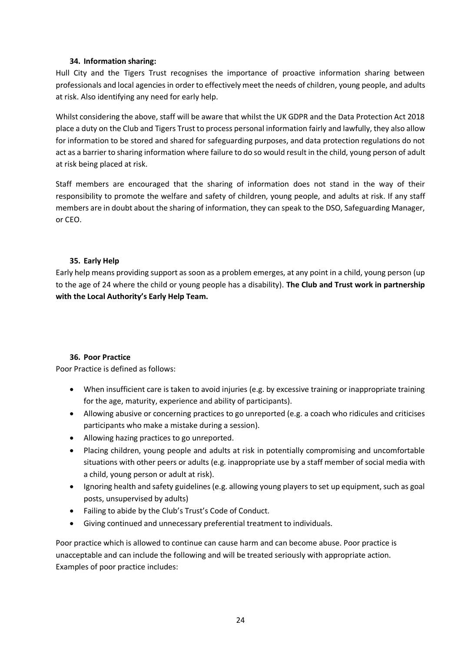### **34. Information sharing:**

<span id="page-23-0"></span>Hull City and the Tigers Trust recognises the importance of proactive information sharing between professionals and local agencies in order to effectively meet the needs of children, young people, and adults at risk. Also identifying any need for early help.

Whilst considering the above, staff will be aware that whilst the UK GDPR and the Data Protection Act 2018 place a duty on the Club and Tigers Trust to process personal information fairly and lawfully, they also allow for information to be stored and shared for safeguarding purposes, and data protection regulations do not act as a barrier to sharing information where failure to do so would result in the child, young person of adult at risk being placed at risk.

Staff members are encouraged that the sharing of information does not stand in the way of their responsibility to promote the welfare and safety of children, young people, and adults at risk. If any staff members are in doubt about the sharing of information, they can speak to the DSO, Safeguarding Manager, or CEO.

### **35. Early Help**

<span id="page-23-1"></span>Early help means providing support as soon as a problem emerges, at any point in a child, young person (up to the age of 24 where the child or young people has a disability). **The Club and Trust work in partnership with the Local Authority's Early Help Team.** 

# **36. Poor Practice**

<span id="page-23-2"></span>Poor Practice is defined as follows:

- When insufficient care is taken to avoid injuries (e.g. by excessive training or inappropriate training for the age, maturity, experience and ability of participants).
- Allowing abusive or concerning practices to go unreported (e.g. a coach who ridicules and criticises participants who make a mistake during a session).
- Allowing hazing practices to go unreported.
- Placing children, young people and adults at risk in potentially compromising and uncomfortable situations with other peers or adults (e.g. inappropriate use by a staff member of social media with a child, young person or adult at risk).
- Ignoring health and safety guidelines (e.g. allowing young players to set up equipment, such as goal posts, unsupervised by adults)
- Failing to abide by the Club's Trust's Code of Conduct.
- Giving continued and unnecessary preferential treatment to individuals.

Poor practice which is allowed to continue can cause harm and can become abuse. Poor practice is unacceptable and can include the following and will be treated seriously with appropriate action. Examples of poor practice includes: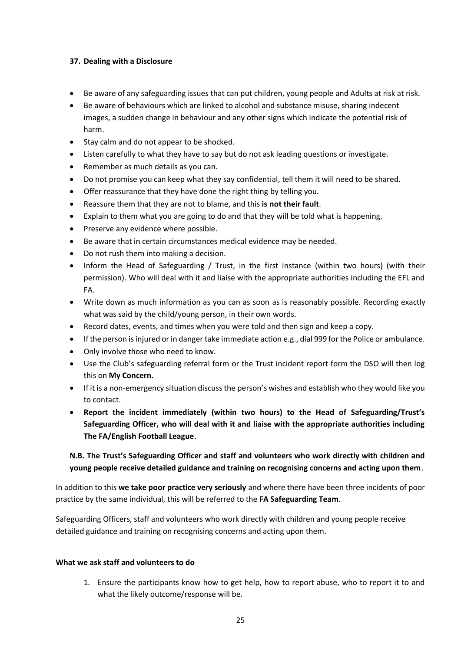### <span id="page-24-0"></span>**37. Dealing with a Disclosure**

- Be aware of any safeguarding issues that can put children, young people and Adults at risk at risk.
- Be aware of behaviours which are linked to alcohol and substance misuse, sharing indecent images, a sudden change in behaviour and any other signs which indicate the potential risk of harm.
- Stay calm and do not appear to be shocked.
- Listen carefully to what they have to say but do not ask leading questions or investigate.
- Remember as much details as you can.
- Do not promise you can keep what they say confidential, tell them it will need to be shared.
- Offer reassurance that they have done the right thing by telling you.
- Reassure them that they are not to blame, and this **is not their fault**.
- Explain to them what you are going to do and that they will be told what is happening.
- Preserve any evidence where possible.
- Be aware that in certain circumstances medical evidence may be needed.
- Do not rush them into making a decision.
- Inform the Head of Safeguarding / Trust, in the first instance (within two hours) (with their permission). Who will deal with it and liaise with the appropriate authorities including the EFL and FA.
- Write down as much information as you can as soon as is reasonably possible. Recording exactly what was said by the child/young person, in their own words.
- Record dates, events, and times when you were told and then sign and keep a copy.
- If the person is injured or in danger take immediate action e.g., dial 999 for the Police or ambulance.
- Only involve those who need to know.
- Use the Club's safeguarding referral form or the Trust incident report form the DSO will then log this on **My Concern**.
- If it is a non-emergency situation discuss the person's wishes and establish who they would like you to contact.
- **Report the incident immediately (within two hours) to the Head of Safeguarding/Trust's Safeguarding Officer, who will deal with it and liaise with the appropriate authorities including The FA/English Football League**.

# **N.B. The Trust's Safeguarding Officer and staff and volunteers who work directly with children and young people receive detailed guidance and training on recognising concerns and acting upon them**.

In addition to this **we take poor practice very seriously** and where there have been three incidents of poor practice by the same individual, this will be referred to the **FA Safeguarding Team**.

Safeguarding Officers, staff and volunteers who work directly with children and young people receive detailed guidance and training on recognising concerns and acting upon them.

#### **What we ask staff and volunteers to do**

1. Ensure the participants know how to get help, how to report abuse, who to report it to and what the likely outcome/response will be.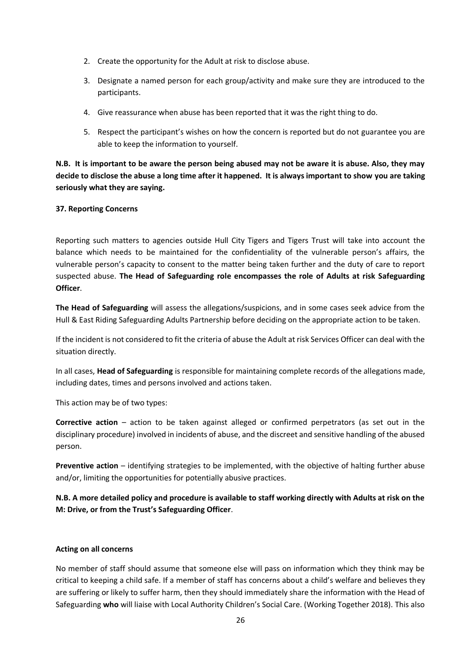- 2. Create the opportunity for the Adult at risk to disclose abuse.
- 3. Designate a named person for each group/activity and make sure they are introduced to the participants.
- 4. Give reassurance when abuse has been reported that it was the right thing to do.
- 5. Respect the participant's wishes on how the concern is reported but do not guarantee you are able to keep the information to yourself.

**N.B. It is important to be aware the person being abused may not be aware it is abuse. Also, they may decide to disclose the abuse a long time after it happened. It is always important to show you are taking seriously what they are saying.**

### <span id="page-25-0"></span>**37. Reporting Concerns**

Reporting such matters to agencies outside Hull City Tigers and Tigers Trust will take into account the balance which needs to be maintained for the confidentiality of the vulnerable person's affairs, the vulnerable person's capacity to consent to the matter being taken further and the duty of care to report suspected abuse. **The Head of Safeguarding role encompasses the role of Adults at risk Safeguarding Officer**.

**The Head of Safeguarding** will assess the allegations/suspicions, and in some cases seek advice from the Hull & East Riding Safeguarding Adults Partnership before deciding on the appropriate action to be taken.

If the incident is not considered to fit the criteria of abuse the Adult at risk Services Officer can deal with the situation directly.

In all cases, **Head of Safeguarding** is responsible for maintaining complete records of the allegations made, including dates, times and persons involved and actions taken.

This action may be of two types:

**Corrective action** – action to be taken against alleged or confirmed perpetrators (as set out in the disciplinary procedure) involved in incidents of abuse, and the discreet and sensitive handling of the abused person.

**Preventive action** – identifying strategies to be implemented, with the objective of halting further abuse and/or, limiting the opportunities for potentially abusive practices.

**N.B. A more detailed policy and procedure is available to staff working directly with Adults at risk on the M: Drive, or from the Trust's Safeguarding Officer**.

# **Acting on all concerns**

No member of staff should assume that someone else will pass on information which they think may be critical to keeping a child safe. If a member of staff has concerns about a child's welfare and believes they are suffering or likely to suffer harm, then they should immediately share the information with the Head of Safeguarding **who** will liaise with Local Authority Children's Social Care. (Working Together 2018). This also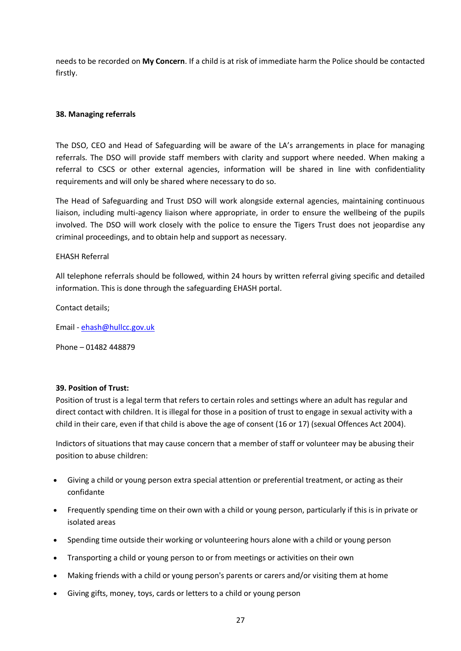needs to be recorded on **My Concern**. If a child is at risk of immediate harm the Police should be contacted firstly.

### <span id="page-26-0"></span>**38. Managing referrals**

The DSO, CEO and Head of Safeguarding will be aware of the LA's arrangements in place for managing referrals. The DSO will provide staff members with clarity and support where needed. When making a referral to CSCS or other external agencies, information will be shared in line with confidentiality requirements and will only be shared where necessary to do so.

The Head of Safeguarding and Trust DSO will work alongside external agencies, maintaining continuous liaison, including multi-agency liaison where appropriate, in order to ensure the wellbeing of the pupils involved. The DSO will work closely with the police to ensure the Tigers Trust does not jeopardise any criminal proceedings, and to obtain help and support as necessary.

### EHASH Referral

All telephone referrals should be followed, within 24 hours by written referral giving specific and detailed information. This is done through the safeguarding EHASH portal.

Contact details;

Email - [ehash@hullcc.gov.uk](mailto:ehash@hullcc.gov.uk)

Phone – 01482 448879

#### <span id="page-26-1"></span>**39. Position of Trust:**

Position of trust is a legal term that refers to certain roles and settings where an adult has regular and direct contact with children. It is illegal for those in a position of trust to engage in sexual activity with a child in their care, even if that child is above the age of consent (16 or 17) (sexual Offences Act 2004).

Indictors of situations that may cause concern that a member of staff or volunteer may be abusing their position to abuse children:

- Giving a child or young person extra special attention or preferential treatment, or acting as their confidante
- Frequently spending time on their own with a child or young person, particularly if this is in private or isolated areas
- Spending time outside their working or volunteering hours alone with a child or young person
- Transporting a child or young person to or from meetings or activities on their own
- Making friends with a child or young person's parents or carers and/or visiting them at home
- Giving gifts, money, toys, cards or letters to a child or young person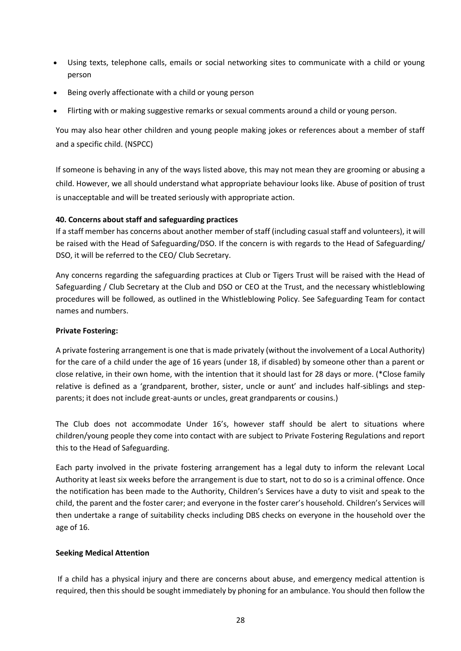- Using texts, telephone calls, emails or social networking sites to communicate with a child or young person
- Being overly affectionate with a child or young person
- Flirting with or making suggestive remarks or sexual comments around a child or young person.

You may also hear other children and young people making jokes or references about a member of staff and a specific child. (NSPCC)

If someone is behaving in any of the ways listed above, this may not mean they are grooming or abusing a child. However, we all should understand what appropriate behaviour looks like. Abuse of position of trust is unacceptable and will be treated seriously with appropriate action.

### <span id="page-27-0"></span>**40. Concerns about staff and safeguarding practices**

If a staff member has concerns about another member of staff (including casual staff and volunteers), it will be raised with the Head of Safeguarding/DSO. If the concern is with regards to the Head of Safeguarding/ DSO, it will be referred to the CEO/ Club Secretary.

Any concerns regarding the safeguarding practices at Club or Tigers Trust will be raised with the Head of Safeguarding / Club Secretary at the Club and DSO or CEO at the Trust, and the necessary whistleblowing procedures will be followed, as outlined in the Whistleblowing Policy. See Safeguarding Team for contact names and numbers.

#### **Private Fostering:**

A private fostering arrangement is one that is made privately (without the involvement of a Local Authority) for the care of a child under the age of 16 years (under 18, if disabled) by someone other than a parent or close relative, in their own home, with the intention that it should last for 28 days or more. (\*Close family relative is defined as a 'grandparent, brother, sister, uncle or aunt' and includes half-siblings and stepparents; it does not include great-aunts or uncles, great grandparents or cousins.)

The Club does not accommodate Under 16's, however staff should be alert to situations where children/young people they come into contact with are subject to Private Fostering Regulations and report this to the Head of Safeguarding.

Each party involved in the private fostering arrangement has a legal duty to inform the relevant Local Authority at least six weeks before the arrangement is due to start, not to do so is a criminal offence. Once the notification has been made to the Authority, Children's Services have a duty to visit and speak to the child, the parent and the foster carer; and everyone in the foster carer's household. Children's Services will then undertake a range of suitability checks including DBS checks on everyone in the household over the age of 16.

#### **Seeking Medical Attention**

If a child has a physical injury and there are concerns about abuse, and emergency medical attention is required, then this should be sought immediately by phoning for an ambulance. You should then follow the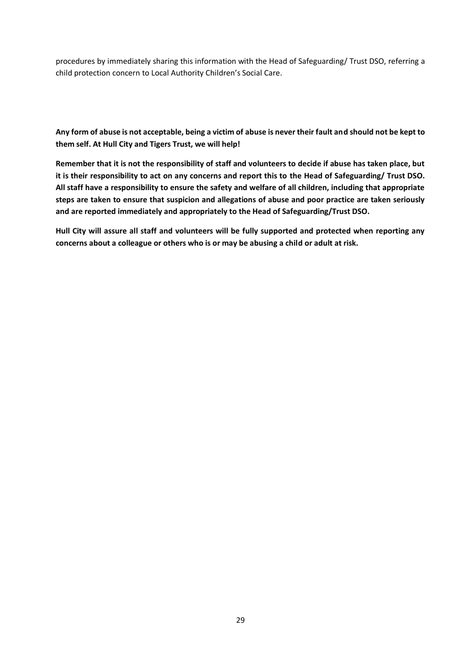procedures by immediately sharing this information with the Head of Safeguarding/ Trust DSO, referring a child protection concern to Local Authority Children's Social Care.

<span id="page-28-0"></span>**Any form of abuse is not acceptable, being a victim of abuse is never their fault and should not be kept to them self. At Hull City and Tigers Trust, we will help!** 

**Remember that it is not the responsibility of staff and volunteers to decide if abuse has taken place, but it is their responsibility to act on any concerns and report this to the Head of Safeguarding/ Trust DSO. All staff have a responsibility to ensure the safety and welfare of all children, including that appropriate steps are taken to ensure that suspicion and allegations of abuse and poor practice are taken seriously and are reported immediately and appropriately to the Head of Safeguarding/Trust DSO.** 

**Hull City will assure all staff and volunteers will be fully supported and protected when reporting any concerns about a colleague or others who is or may be abusing a child or adult at risk.**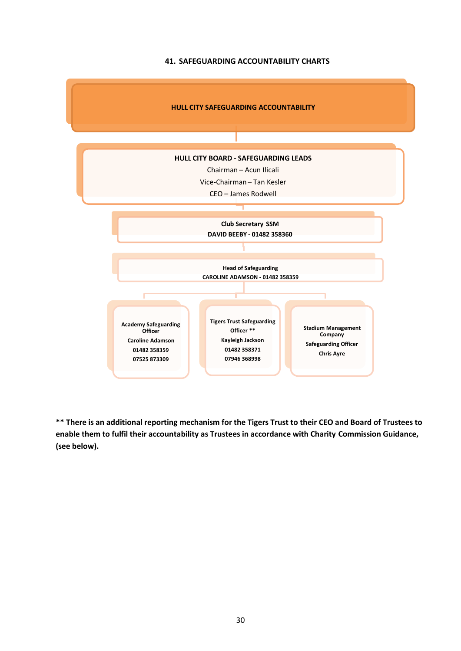#### **41. SAFEGUARDING ACCOUNTABILITY CHARTS**

<span id="page-29-0"></span>

**\*\* There is an additional reporting mechanism for the Tigers Trust to their CEO and Board of Trustees to enable them to fulfil their accountability as Trustees in accordance with Charity Commission Guidance, (see below).**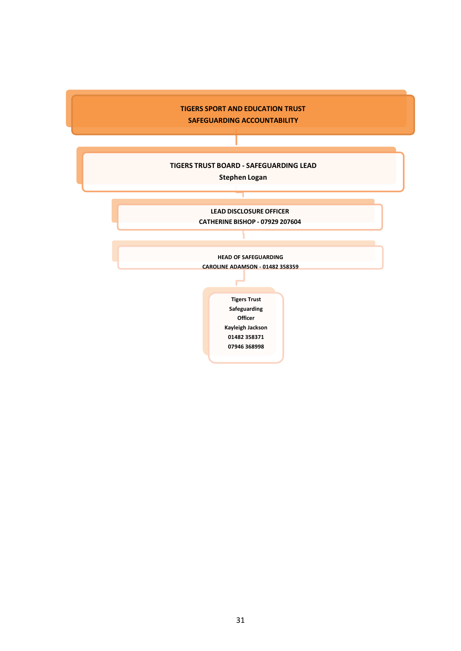

**TIGERS TRUST BOARD - SAFEGUARDING LEAD**

**Stephen Logan**

**LEAD DISCLOSURE OFFICER CATHERINE BISHOP - 07929 207604**

**HEAD OF SAFEGUARDING CAROLINE ADAMSON - 01482 358359**

> **Tigers Trust Safeguarding Officer Kayleigh Jackson 01482 358371 07946 368998**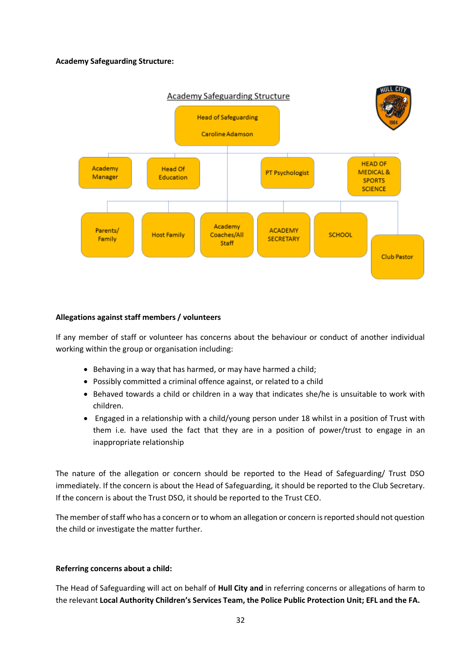### **Academy Safeguarding Structure:**



### **Allegations against staff members / volunteers**

If any member of staff or volunteer has concerns about the behaviour or conduct of another individual working within the group or organisation including:

- Behaving in a way that has harmed, or may have harmed a child;
- Possibly committed a criminal offence against, or related to a child
- Behaved towards a child or children in a way that indicates she/he is unsuitable to work with children.
- Engaged in a relationship with a child/young person under 18 whilst in a position of Trust with them i.e. have used the fact that they are in a position of power/trust to engage in an inappropriate relationship

The nature of the allegation or concern should be reported to the Head of Safeguarding/ Trust DSO immediately. If the concern is about the Head of Safeguarding, it should be reported to the Club Secretary. If the concern is about the Trust DSO, it should be reported to the Trust CEO.

The member of staff who has a concern or to whom an allegation or concern is reported should not question the child or investigate the matter further.

#### **Referring concerns about a child:**

The Head of Safeguarding will act on behalf of **Hull City and** in referring concerns or allegations of harm to the relevant **Local Authority Children's Services Team, the Police Public Protection Unit; EFL and the FA.**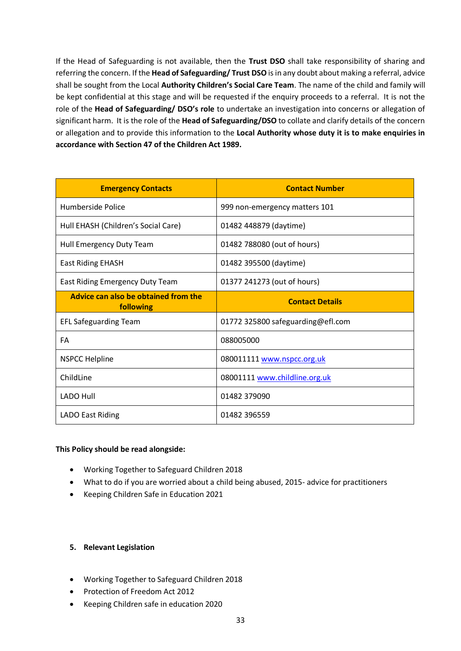If the Head of Safeguarding is not available, then the **Trust DSO** shall take responsibility of sharing and referring the concern. If the **Head of Safeguarding/ Trust DSO** isin any doubt about making a referral, advice shall be sought from the Local **Authority Children's Social Care Team**. The name of the child and family will be kept confidential at this stage and will be requested if the enquiry proceeds to a referral. It is not the role of the **Head of Safeguarding/ DSO's role** to undertake an investigation into concerns or allegation of significant harm. It is the role of the **Head of Safeguarding/DSO** to collate and clarify details of the concern or allegation and to provide this information to the **Local Authority whose duty it is to make enquiries in accordance with Section 47 of the Children Act 1989.**

| <b>Emergency Contacts</b>                         | <b>Contact Number</b>             |
|---------------------------------------------------|-----------------------------------|
| Humberside Police                                 | 999 non-emergency matters 101     |
| Hull EHASH (Children's Social Care)               | 01482 448879 (daytime)            |
| Hull Emergency Duty Team                          | 01482 788080 (out of hours)       |
| <b>East Riding EHASH</b>                          | 01482 395500 (daytime)            |
| East Riding Emergency Duty Team                   | 01377 241273 (out of hours)       |
| Advice can also be obtained from the<br>following | <b>Contact Details</b>            |
| <b>EFL Safeguarding Team</b>                      | 01772 325800 safeguarding@efl.com |
| FA                                                | 088005000                         |
| <b>NSPCC Helpline</b>                             | 080011111 www.nspcc.org.uk        |
| ChildLine                                         | 08001111 www.childline.org.uk     |
| <b>LADO Hull</b>                                  | 01482 379090                      |
| <b>LADO East Riding</b>                           | 01482 396559                      |

#### **This Policy should be read alongside:**

- Working Together to Safeguard Children 2018
- What to do if you are worried about a child being abused, 2015- advice for practitioners
- Keeping Children Safe in Education 2021

#### **5. Relevant Legislation**

- Working Together to Safeguard Children 2018
- Protection of Freedom Act 2012
- Keeping Children safe in education 2020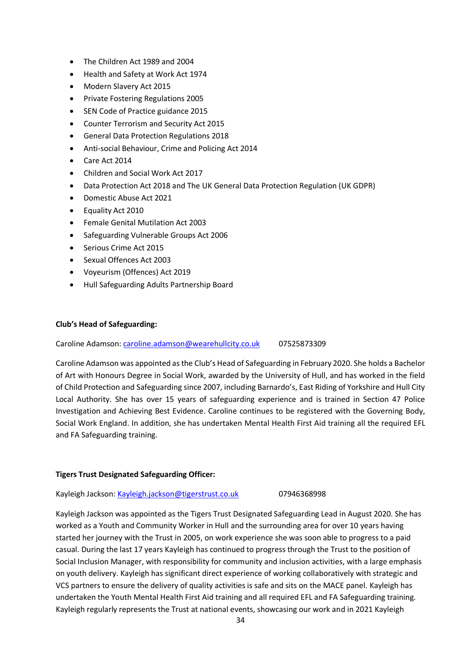- The Children Act 1989 and 2004
- Health and Safety at Work Act 1974
- Modern Slavery Act 2015
- Private Fostering Regulations 2005
- SEN Code of Practice guidance 2015
- Counter Terrorism and Security Act 2015
- General Data Protection Regulations 2018
- Anti-social Behaviour, Crime and Policing Act 2014
- Care Act 2014
- Children and Social Work Act 2017
- Data Protection Act 2018 and The UK General Data Protection Regulation (UK GDPR)
- Domestic Abuse Act 2021
- Equality Act 2010
- Female Genital Mutilation Act 2003
- Safeguarding Vulnerable Groups Act 2006
- Serious Crime Act 2015
- Sexual Offences Act 2003
- Voyeurism (Offences) Act 2019
- Hull Safeguarding Adults Partnership Board

#### **Club's Head of Safeguarding:**

Caroline Adamson: [caroline.adamson@wearehullcity.co.uk](mailto:caroline.adamson@wearehullcity.co.uk) 07525873309

Caroline Adamson was appointed as the Club's Head of Safeguarding in February 2020. She holds a Bachelor of Art with Honours Degree in Social Work, awarded by the University of Hull, and has worked in the field of Child Protection and Safeguarding since 2007, including Barnardo's, East Riding of Yorkshire and Hull City Local Authority. She has over 15 years of safeguarding experience and is trained in Section 47 Police Investigation and Achieving Best Evidence. Caroline continues to be registered with the Governing Body, Social Work England. In addition, she has undertaken Mental Health First Aid training all the required EFL and FA Safeguarding training.

#### **Tigers Trust Designated Safeguarding Officer:**

Kayleigh Jackson[: Kayleigh.jackson@tigerstrust.co.uk](mailto:Kayleigh.jackson@tigerstrust.co.uk) 07946368998

Kayleigh Jackson was appointed as the Tigers Trust Designated Safeguarding Lead in August 2020. She has worked as a Youth and Community Worker in Hull and the surrounding area for over 10 years having started her journey with the Trust in 2005, on work experience she was soon able to progress to a paid casual. During the last 17 years Kayleigh has continued to progress through the Trust to the position of Social Inclusion Manager, with responsibility for community and inclusion activities, with a large emphasis on youth delivery. Kayleigh has significant direct experience of working collaboratively with strategic and VCS partners to ensure the delivery of quality activities is safe and sits on the MACE panel. Kayleigh has undertaken the Youth Mental Health First Aid training and all required EFL and FA Safeguarding training. Kayleigh regularly represents the Trust at national events, showcasing our work and in 2021 Kayleigh